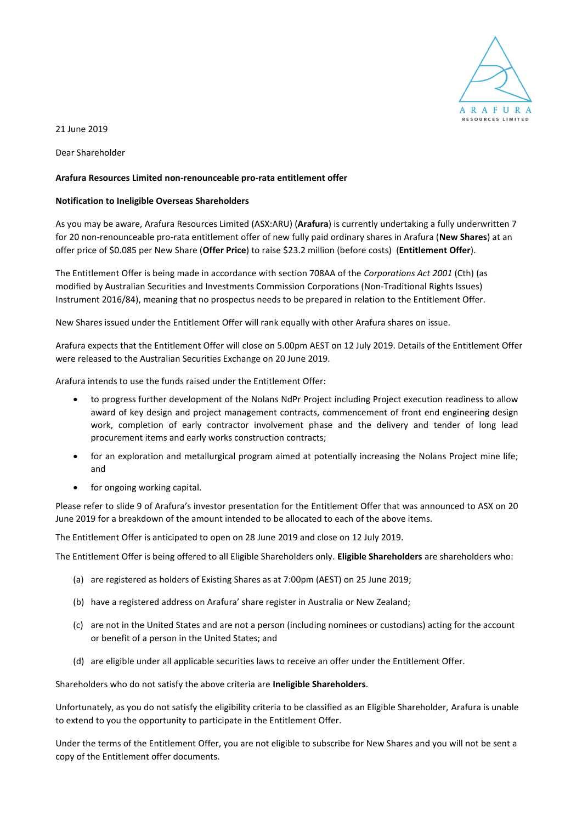

21 June 2019

Dear Shareholder

## **Arafura Resources Limited non-renounceable pro-rata entitlement offer**

## **Notification to Ineligible Overseas Shareholders**

As you may be aware, Arafura Resources Limited (ASX:ARU) (**Arafura**) is currently undertaking a fully underwritten 7 for 20 non-renounceable pro-rata entitlement offer of new fully paid ordinary shares in Arafura (**New Shares**) at an offer price of \$0.085 per New Share (**Offer Price**) to raise \$23.2 million (before costs) (**Entitlement Offer**).

The Entitlement Offer is being made in accordance with section 708AA of the *Corporations Act 2001* (Cth) (as modified by Australian Securities and Investments Commission Corporations (Non-Traditional Rights Issues) Instrument 2016/84), meaning that no prospectus needs to be prepared in relation to the Entitlement Offer.

New Shares issued under the Entitlement Offer will rank equally with other Arafura shares on issue.

Arafura expects that the Entitlement Offer will close on 5.00pm AEST on 12 July 2019. Details of the Entitlement Offer were released to the Australian Securities Exchange on 20 June 2019.

Arafura intends to use the funds raised under the Entitlement Offer:

- to progress further development of the Nolans NdPr Project including Project execution readiness to allow award of key design and project management contracts, commencement of front end engineering design work, completion of early contractor involvement phase and the delivery and tender of long lead procurement items and early works construction contracts;
- for an exploration and metallurgical program aimed at potentially increasing the Nolans Project mine life; and
- for ongoing working capital.

Please refer to slide 9 of Arafura's investor presentation for the Entitlement Offer that was announced to ASX on 20 June 2019 for a breakdown of the amount intended to be allocated to each of the above items.

The Entitlement Offer is anticipated to open on 28 June 2019 and close on 12 July 2019.

The Entitlement Offer is being offered to all Eligible Shareholders only. **Eligible Shareholders** are shareholders who:

- (a) are registered as holders of Existing Shares as at 7:00pm (AEST) on 25 June 2019;
- (b) have a registered address on Arafura' share register in Australia or New Zealand;
- (c) are not in the United States and are not a person (including nominees or custodians) acting for the account or benefit of a person in the United States; and
- (d) are eligible under all applicable securities laws to receive an offer under the Entitlement Offer.

Shareholders who do not satisfy the above criteria are **Ineligible Shareholders**.

Unfortunately, as you do not satisfy the eligibility criteria to be classified as an Eligible Shareholder, Arafura is unable to extend to you the opportunity to participate in the Entitlement Offer.

Under the terms of the Entitlement Offer, you are not eligible to subscribe for New Shares and you will not be sent a copy of the Entitlement offer documents.